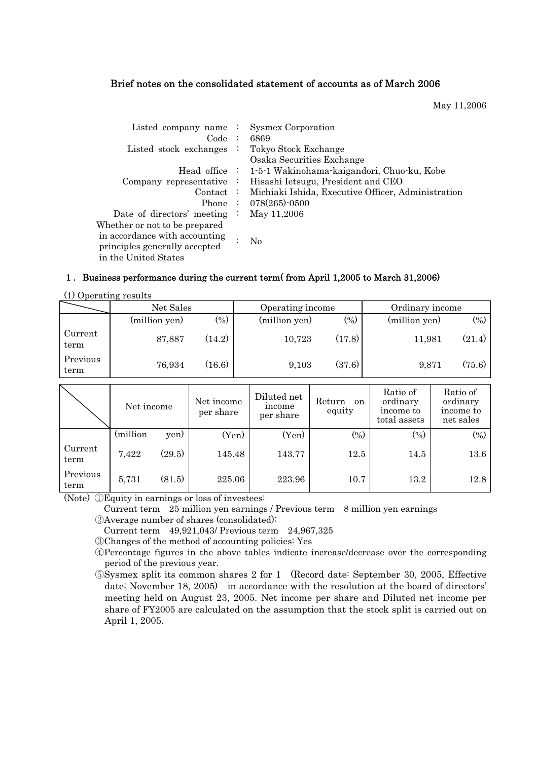# Brief notes on the consolidated statement of accounts as of March 2006

May 11,2006

| Listed company name $\cdot$   |                | <b>Sysmex Corporation</b>                                |
|-------------------------------|----------------|----------------------------------------------------------|
| Code:                         |                | 6869                                                     |
|                               |                |                                                          |
| Listed stock exchanges        |                | : Tokyo Stock Exchange                                   |
|                               |                | Osaka Securities Exchange                                |
|                               |                | Head office : 1-5-1 Wakinohama-kaigandori, Chuo-ku, Kobe |
| Company representative        | ÷              | Hisashi Ietsugu, President and CEO                       |
| $\text{Context}$ :            |                | Michiaki Ishida, Executive Officer, Administration       |
|                               |                | Phone : $078(265)$ -0500                                 |
| Date of directors' meeting    | $\ddot{\cdot}$ | May 11,2006                                              |
| Whether or not to be prepared |                |                                                          |
| in accordance with accounting |                |                                                          |
| principles generally accepted |                |                                                          |
| in the United States          |                |                                                          |
|                               |                | N <sub>0</sub>                                           |

## 1. Business performance during the current term( from April 1,2005 to March 31,2006)

(1) Operating results

|                  | Net Sales     |                | Operating income |        | Ordinary income |        |
|------------------|---------------|----------------|------------------|--------|-----------------|--------|
|                  | (million yen) | $\binom{0}{0}$ | (million yen)    | $(\%)$ | (million yen)   | $(\%)$ |
| Current<br>term  | 87,887        | (14.2)         | 10,723           | (17.8) | 11,981          | (21.4) |
| Previous<br>term | 76,934        | (16.6)         | 9,103            | (37.6) | 9,871           | (75.6) |

|                  | Net income |        | Net income<br>per share | Diluted net<br>income<br>per share | Return<br><sub>on</sub><br>equity | Ratio of<br>ordinary<br>income to<br>total assets | Ratio of<br>ordinary<br>income to<br>net sales |
|------------------|------------|--------|-------------------------|------------------------------------|-----------------------------------|---------------------------------------------------|------------------------------------------------|
|                  | (million)  | yen)   | (Yen)                   | (Yen)                              | $(\%)$                            | $\left(\% \right)$                                | (0/0)                                          |
| Current<br>term  | 7,422      | (29.5) | 145.48                  | 143.77                             | 12.5                              | 14.5                                              | 13.6                                           |
| Previous<br>term | 5,731      | (81.5) | 225.06                  | 223.96                             | 10.7                              | 13.2                                              | 12.8                                           |

(Note) ①Equity in earnings or loss of investees:

Current term 25 million yen earnings / Previous term 8 million yen earnings

ԙAverage number of shares (consolidated):

Current term 49,921,043/ Previous term 24,967,325

ԚChanges of the method of accounting policies: Yes

ԛPercentage figures in the above tables indicate increase/decrease over the corresponding period of the previous year.

ԜSysmex split its common shares 2 for 1 (Record date: September 30, 2005, Effective date: November 18, 2005) in accordance with the resolution at the board of directors' meeting held on August 23, 2005. Net income per share and Diluted net income per share of FY2005 are calculated on the assumption that the stock split is carried out on April 1, 2005.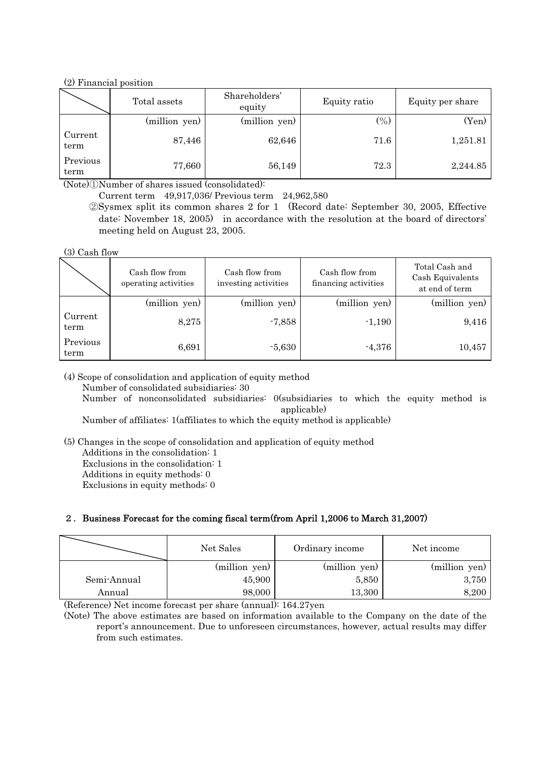# (2) Financial position

|                  | Total assets  | Shareholders'<br>equity | Equity ratio | Equity per share |
|------------------|---------------|-------------------------|--------------|------------------|
|                  | (million yen) | (million yen)           | (0/0)        | (Yen)            |
| Current<br>term  | 87,446        | 62,646                  | 71.6         | 1,251.81         |
| Previous<br>term | 77,660        | 56,149                  | 72.3         | 2,244.85         |

 $(Note)$  $\Omega$ Number of shares issued (consolidated):

Current term 49,917,036/ Previous term 24,962,580

ԙSysmex split its common shares 2 for 1 (Record date: September 30, 2005, Effective date: November 18, 2005) in accordance with the resolution at the board of directors' meeting held on August 23, 2005.

(3) Cash flow

|                  | Cash flow from<br>operating activities | Cash flow from<br>investing activities | Cash flow from<br>financing activities | Total Cash and<br>Cash Equivalents<br>at end of term |
|------------------|----------------------------------------|----------------------------------------|----------------------------------------|------------------------------------------------------|
|                  | (million yen)                          | (million yen)                          | (million yen)                          | (million yen)                                        |
| Current<br>term  | 8,275                                  | $-7,858$                               | $-1,190$                               | 9,416                                                |
| Previous<br>term | 6,691                                  | $-5,630$                               | $-4,376$                               | 10,457                                               |

(4) Scope of consolidation and application of equity method

Number of consolidated subsidiaries: 30

 Number of nonconsolidated subsidiaries: 0(subsidiaries to which the equity method is applicable)

Number of affiliates: 1(affiliates to which the equity method is applicable)

(5) Changes in the scope of consolidation and application of equity method Additions in the consolidation: 1

Exclusions in the consolidation: 1

Additions in equity methods: 0

Exclusions in equity methods: 0

# 2. Business Forecast for the coming fiscal term(from April 1,2006 to March 31,2007)

|             | Net Sales     | Ordinary income | Net income    |
|-------------|---------------|-----------------|---------------|
|             | (million yen) | (million yen)   | (million yen) |
| Semi-Annual | 45,900        | 5,850           | 3,750         |
| Annual      | 98,000        | 13,300          | 8,200         |

(Reference) Net income forecast per share (annual): 164.27yen

(Note) The above estimates are based on information available to the Company on the date of the report's announcement. Due to unforeseen circumstances, however, actual results may differ from such estimates.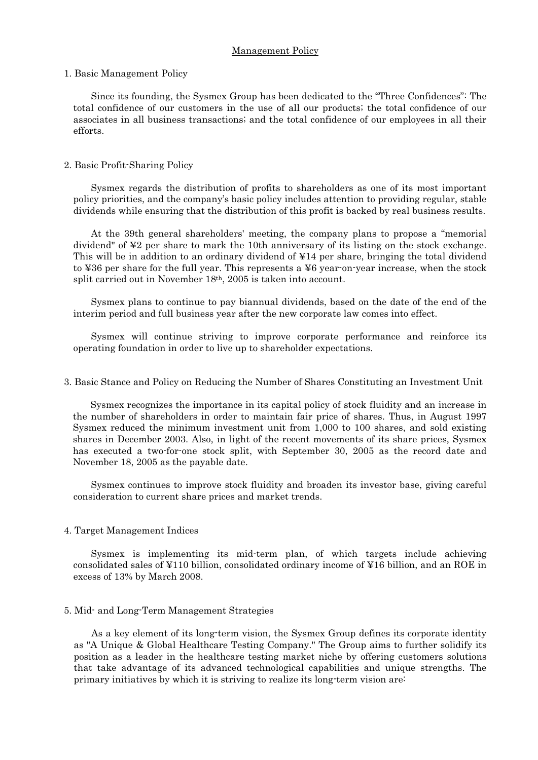#### Management Policy

#### 1. Basic Management Policy

Since its founding, the Sysmex Group has been dedicated to the "Three Confidences": The total confidence of our customers in the use of all our products; the total confidence of our associates in all business transactions; and the total confidence of our employees in all their efforts.

#### 2. Basic Profit-Sharing Policy

Sysmex regards the distribution of profits to shareholders as one of its most important policy priorities, and the company's basic policy includes attention to providing regular, stable dividends while ensuring that the distribution of this profit is backed by real business results.

At the 39th general shareholders' meeting, the company plans to propose a "memorial dividend" of ¥2 per share to mark the 10th anniversary of its listing on the stock exchange. This will be in addition to an ordinary dividend of ¥14 per share, bringing the total dividend to ¥36 per share for the full year. This represents a ¥6 year-on-year increase, when the stock split carried out in November 18th, 2005 is taken into account.

Sysmex plans to continue to pay biannual dividends, based on the date of the end of the interim period and full business year after the new corporate law comes into effect.

Sysmex will continue striving to improve corporate performance and reinforce its operating foundation in order to live up to shareholder expectations.

#### 3. Basic Stance and Policy on Reducing the Number of Shares Constituting an Investment Unit

Sysmex recognizes the importance in its capital policy of stock fluidity and an increase in the number of shareholders in order to maintain fair price of shares. Thus, in August 1997 Sysmex reduced the minimum investment unit from 1,000 to 100 shares, and sold existing shares in December 2003. Also, in light of the recent movements of its share prices, Sysmex has executed a two-for-one stock split, with September 30, 2005 as the record date and November 18, 2005 as the payable date.

Sysmex continues to improve stock fluidity and broaden its investor base, giving careful consideration to current share prices and market trends.

#### 4. Target Management Indices

Sysmex is implementing its mid-term plan, of which targets include achieving consolidated sales of ¥110 billion, consolidated ordinary income of ¥16 billion, and an ROE in excess of 13% by March 2008.

#### 5. Mid- and Long-Term Management Strategies

As a key element of its long-term vision, the Sysmex Group defines its corporate identity as "A Unique & Global Healthcare Testing Company." The Group aims to further solidify its position as a leader in the healthcare testing market niche by offering customers solutions that take advantage of its advanced technological capabilities and unique strengths. The primary initiatives by which it is striving to realize its long-term vision are: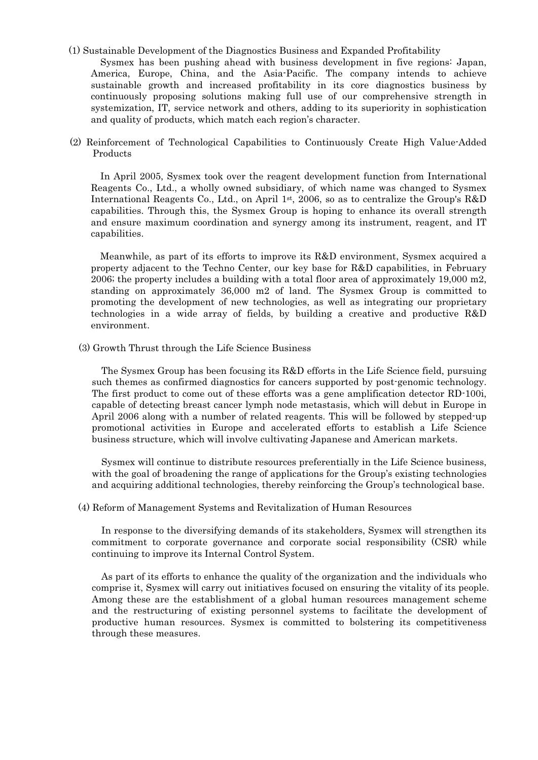#### (1) Sustainable Development of the Diagnostics Business and Expanded Profitability

Sysmex has been pushing ahead with business development in five regions: Japan, America, Europe, China, and the Asia-Pacific. The company intends to achieve sustainable growth and increased profitability in its core diagnostics business by continuously proposing solutions making full use of our comprehensive strength in systemization, IT, service network and others, adding to its superiority in sophistication and quality of products, which match each region's character.

(2) Reinforcement of Technological Capabilities to Continuously Create High Value-Added Products

In April 2005, Sysmex took over the reagent development function from International Reagents Co., Ltd., a wholly owned subsidiary, of which name was changed to Sysmex International Reagents Co., Ltd., on April  $1<sup>st</sup>$ , 2006, so as to centralize the Group's R&D capabilities. Through this, the Sysmex Group is hoping to enhance its overall strength and ensure maximum coordination and synergy among its instrument, reagent, and IT capabilities.

Meanwhile, as part of its efforts to improve its R&D environment, Sysmex acquired a property adjacent to the Techno Center, our key base for R&D capabilities, in February 2006; the property includes a building with a total floor area of approximately 19,000 m2, standing on approximately 36,000 m2 of land. The Sysmex Group is committed to promoting the development of new technologies, as well as integrating our proprietary technologies in a wide array of fields, by building a creative and productive R&D environment.

(3) Growth Thrust through the Life Science Business

The Sysmex Group has been focusing its R&D efforts in the Life Science field, pursuing such themes as confirmed diagnostics for cancers supported by post-genomic technology. The first product to come out of these efforts was a gene amplification detector RD-100i, capable of detecting breast cancer lymph node metastasis, which will debut in Europe in April 2006 along with a number of related reagents. This will be followed by stepped-up promotional activities in Europe and accelerated efforts to establish a Life Science business structure, which will involve cultivating Japanese and American markets.

Sysmex will continue to distribute resources preferentially in the Life Science business, with the goal of broadening the range of applications for the Group's existing technologies and acquiring additional technologies, thereby reinforcing the Group's technological base.

(4) Reform of Management Systems and Revitalization of Human Resources

In response to the diversifying demands of its stakeholders, Sysmex will strengthen its commitment to corporate governance and corporate social responsibility (CSR) while continuing to improve its Internal Control System.

As part of its efforts to enhance the quality of the organization and the individuals who comprise it, Sysmex will carry out initiatives focused on ensuring the vitality of its people. Among these are the establishment of a global human resources management scheme and the restructuring of existing personnel systems to facilitate the development of productive human resources. Sysmex is committed to bolstering its competitiveness through these measures.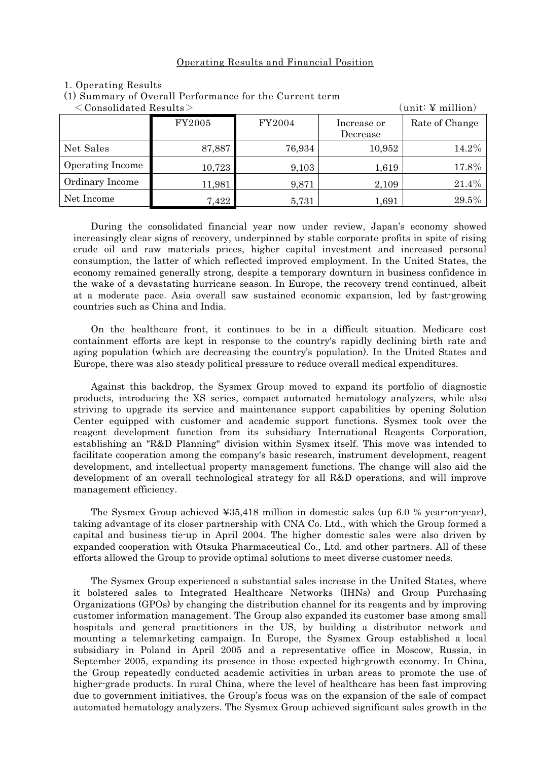### Operating Results and Financial Position

| $\langle$ Consolidated Results $>$ | $\text{(unit: } \Psi \text{ million)}$ |        |                         |                |
|------------------------------------|----------------------------------------|--------|-------------------------|----------------|
|                                    | FY2005                                 | FY2004 | Increase or<br>Decrease | Rate of Change |
| Net Sales                          | 87,887                                 | 76,934 | 10,952                  | 14.2%          |
| Operating Income                   | 10,723                                 | 9,103  | 1,619                   | 17.8%          |
| Ordinary Income                    | 11,981                                 | 9,871  | 2,109                   | 21.4%          |
| Net Income                         | 7,422                                  | 5,731  | 1,691                   | 29.5%          |

#### 1. Operating Results

(1) Summary of Overall Performance for the Current term

During the consolidated financial year now under review, Japan's economy showed increasingly clear signs of recovery, underpinned by stable corporate profits in spite of rising crude oil and raw materials prices, higher capital investment and increased personal consumption, the latter of which reflected improved employment. In the United States, the economy remained generally strong, despite a temporary downturn in business confidence in the wake of a devastating hurricane season. In Europe, the recovery trend continued, albeit at a moderate pace. Asia overall saw sustained economic expansion, led by fast-growing countries such as China and India.

On the healthcare front, it continues to be in a difficult situation. Medicare cost containment efforts are kept in response to the country's rapidly declining birth rate and aging population (which are decreasing the country's population). In the United States and Europe, there was also steady political pressure to reduce overall medical expenditures.

Against this backdrop, the Sysmex Group moved to expand its portfolio of diagnostic products, introducing the XS series, compact automated hematology analyzers, while also striving to upgrade its service and maintenance support capabilities by opening Solution Center equipped with customer and academic support functions. Sysmex took over the reagent development function from its subsidiary International Reagents Corporation, establishing an "R&D Planning" division within Sysmex itself. This move was intended to facilitate cooperation among the company's basic research, instrument development, reagent development, and intellectual property management functions. The change will also aid the development of an overall technological strategy for all R&D operations, and will improve management efficiency.

The Sysmex Group achieved ¥35,418 million in domestic sales (up 6.0 % year-on-year), taking advantage of its closer partnership with CNA Co. Ltd., with which the Group formed a capital and business tie-up in April 2004. The higher domestic sales were also driven by expanded cooperation with Otsuka Pharmaceutical Co., Ltd. and other partners. All of these efforts allowed the Group to provide optimal solutions to meet diverse customer needs.

The Sysmex Group experienced a substantial sales increase in the United States, where it bolstered sales to Integrated Healthcare Networks (IHNs) and Group Purchasing Organizations (GPOs) by changing the distribution channel for its reagents and by improving customer information management. The Group also expanded its customer base among small hospitals and general practitioners in the US, by building a distributor network and mounting a telemarketing campaign. In Europe, the Sysmex Group established a local subsidiary in Poland in April 2005 and a representative office in Moscow, Russia, in September 2005, expanding its presence in those expected high-growth economy. In China, the Group repeatedly conducted academic activities in urban areas to promote the use of higher-grade products. In rural China, where the level of healthcare has been fast improving due to government initiatives, the Group's focus was on the expansion of the sale of compact automated hematology analyzers. The Sysmex Group achieved significant sales growth in the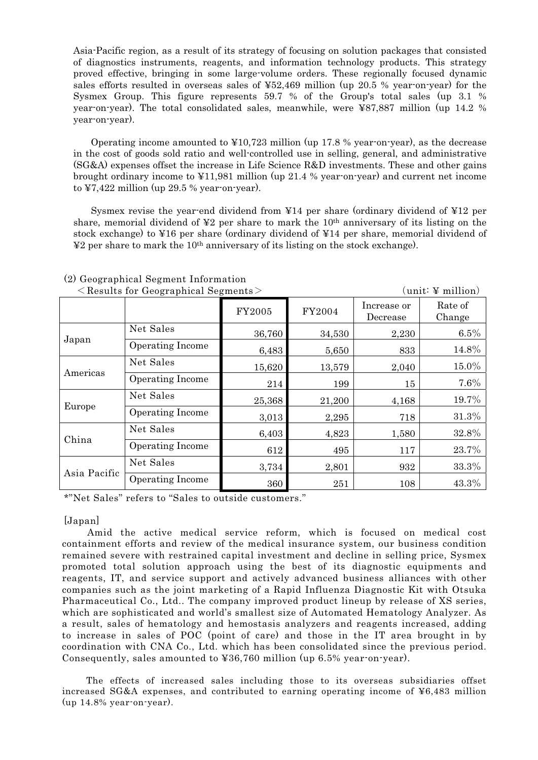Asia-Pacific region, as a result of its strategy of focusing on solution packages that consisted of diagnostics instruments, reagents, and information technology products. This strategy proved effective, bringing in some large-volume orders. These regionally focused dynamic sales efforts resulted in overseas sales of ¥52,469 million (up 20.5 % year-on-year) for the Sysmex Group. This figure represents 59.7 % of the Group's total sales (up 3.1 % year-on-year). The total consolidated sales, meanwhile, were ¥87,887 million (up 14.2 % year-on-year).

Operating income amounted to ¥10,723 million (up 17.8 % year-on-year), as the decrease in the cost of goods sold ratio and well-controlled use in selling, general, and administrative (SG&A) expenses offset the increase in Life Science R&D investments. These and other gains brought ordinary income to ¥11,981 million (up 21.4 % year-on-year) and current net income to ¥7,422 million (up 29.5 % year-on-year).

Sysmex revise the year-end dividend from ¥14 per share (ordinary dividend of ¥12 per share, memorial dividend of  $\yen$ 2 per share to mark the 10<sup>th</sup> anniversary of its listing on the stock exchange) to ¥16 per share (ordinary dividend of ¥14 per share, memorial dividend of  $\angle$ 2 per share to mark the 10<sup>th</sup> anniversary of its listing on the stock exchange).

|              | $\sim$ results for Geographical Segments $\ge$ |        |        |                         | $\langle$ united $\pm$ minition |
|--------------|------------------------------------------------|--------|--------|-------------------------|---------------------------------|
|              |                                                | FY2005 | FY2004 | Increase or<br>Decrease | Rate of<br>Change               |
|              | Net Sales                                      | 36,760 | 34,530 | 2,230                   | 6.5%                            |
| Japan        | Operating Income                               | 6,483  | 5,650  | 833                     | 14.8%                           |
|              | Net Sales                                      | 15,620 | 13,579 | 2,040                   | $15.0\%$                        |
| Americas     | <b>Operating Income</b>                        | 214    | 199    | 15                      | 7.6%                            |
|              | Net Sales                                      | 25,368 | 21,200 | 4,168                   | 19.7%                           |
| Europe       | <b>Operating Income</b><br>3,013<br>2,295      | 718    | 31.3%  |                         |                                 |
| China        | Net Sales                                      | 6,403  | 4,823  | 1,580                   | 32.8%                           |
|              | <b>Operating Income</b>                        | 612    | 495    | 117                     | 23.7%                           |
|              | Net Sales                                      | 3,734  | 2,801  | 932                     | 33.3%                           |
| Asia Pacific | Operating Income                               | 360    | 251    | 108                     | 43.3%                           |

#### (2) Geographical Segment Information  $\angle$  Pecults for Geographical Segments $\angle$  (unit:  $V$  million)

\*"Net Sales" refers to "Sales to outside customers."

# [Japan]

Amid the active medical service reform, which is focused on medical cost containment efforts and review of the medical insurance system, our business condition remained severe with restrained capital investment and decline in selling price, Sysmex promoted total solution approach using the best of its diagnostic equipments and reagents, IT, and service support and actively advanced business alliances with other companies such as the joint marketing of a Rapid Influenza Diagnostic Kit with Otsuka Pharmaceutical Co., Ltd.. The company improved product lineup by release of XS series, which are sophisticated and world's smallest size of Automated Hematology Analyzer. As a result, sales of hematology and hemostasis analyzers and reagents increased, adding to increase in sales of POC (point of care) and those in the IT area brought in by coordination with CNA Co., Ltd. which has been consolidated since the previous period. Consequently, sales amounted to ¥36,760 million (up 6.5% year-on-year).

The effects of increased sales including those to its overseas subsidiaries offset increased SG&A expenses, and contributed to earning operating income of  $\yen$ 6,483 million (up 14.8% year-on-year).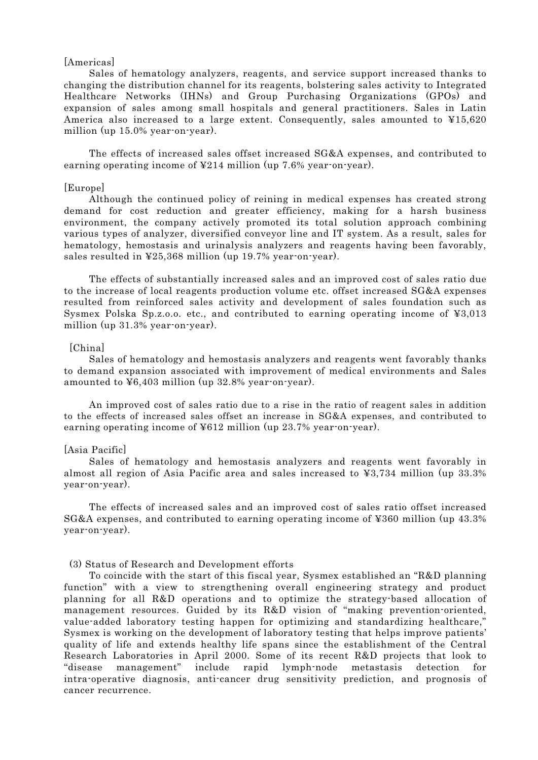#### [Americas]

Sales of hematology analyzers, reagents, and service support increased thanks to changing the distribution channel for its reagents, bolstering sales activity to Integrated Healthcare Networks (IHNs) and Group Purchasing Organizations (GPOs) and expansion of sales among small hospitals and general practitioners. Sales in Latin America also increased to a large extent. Consequently, sales amounted to  $\yen 15,620$ million (up 15.0% year-on-year).

The effects of increased sales offset increased SG&A expenses, and contributed to earning operating income of ¥214 million (up 7.6% year-on-year).

#### [Europe]

Although the continued policy of reining in medical expenses has created strong demand for cost reduction and greater efficiency, making for a harsh business environment, the company actively promoted its total solution approach combining various types of analyzer, diversified conveyor line and IT system. As a result, sales for hematology, hemostasis and urinalysis analyzers and reagents having been favorably, sales resulted in ¥25,368 million (up 19.7% year-on-year).

The effects of substantially increased sales and an improved cost of sales ratio due to the increase of local reagents production volume etc. offset increased SG&A expenses resulted from reinforced sales activity and development of sales foundation such as Sysmex Polska Sp.z.o.o. etc., and contributed to earning operating income of ¥3,013 million (up 31.3% year-on-year).

# [China]

Sales of hematology and hemostasis analyzers and reagents went favorably thanks to demand expansion associated with improvement of medical environments and Sales amounted to ¥6,403 million (up 32.8% year-on-year).

An improved cost of sales ratio due to a rise in the ratio of reagent sales in addition to the effects of increased sales offset an increase in SG&A expenses, and contributed to earning operating income of ¥612 million (up 23.7% year-on-year).

#### [Asia Pacific]

Sales of hematology and hemostasis analyzers and reagents went favorably in almost all region of Asia Pacific area and sales increased to ¥3,734 million (up 33.3% year-on-year).

The effects of increased sales and an improved cost of sales ratio offset increased SG&A expenses, and contributed to earning operating income of ¥360 million (up 43.3% year-on-year).

#### (3) Status of Research and Development efforts

To coincide with the start of this fiscal year, Sysmex established an "R&D planning function" with a view to strengthening overall engineering strategy and product planning for all R&D operations and to optimize the strategy-based allocation of management resources. Guided by its R&D vision of "making prevention-oriented, value-added laboratory testing happen for optimizing and standardizing healthcare," Sysmex is working on the development of laboratory testing that helps improve patients' quality of life and extends healthy life spans since the establishment of the Central Research Laboratories in April 2000. Some of its recent R&D projects that look to "disease management" include rapid lymph-node metastasis detection for intra-operative diagnosis, anti-cancer drug sensitivity prediction, and prognosis of cancer recurrence.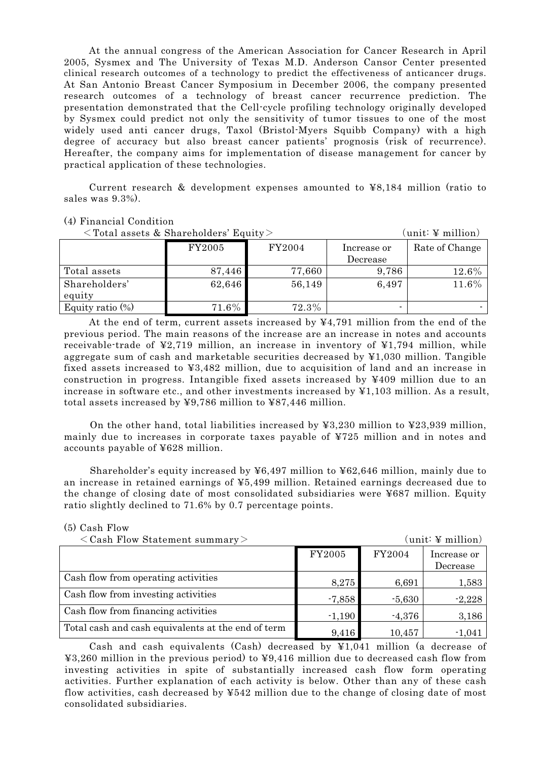At the annual congress of the American Association for Cancer Research in April 2005, Sysmex and The University of Texas M.D. Anderson Cansor Center presented clinical research outcomes of a technology to predict the effectiveness of anticancer drugs. At San Antonio Breast Cancer Symposium in December 2006, the company presented research outcomes of a technology of breast cancer recurrence prediction. The presentation demonstrated that the Cell-cycle profiling technology originally developed by Sysmex could predict not only the sensitivity of tumor tissues to one of the most widely used anti cancer drugs, Taxol (Bristol-Myers Squibb Company) with a high degree of accuracy but also breast cancer patients' prognosis (risk of recurrence). Hereafter, the company aims for implementation of disease management for cancer by practical application of these technologies.

Current research & development expenses amounted to ¥8,184 million (ratio to sales was 9.3%).

## (4) Financial Condition

 $\langle$ Total assets & Shareholders' Equity>  $(unit: 4 million)$ FY2005 FY2004 Increase or Decrease Rate of Change Total assets 87,446 77,660 9,786 12.6% Shareholders' equity 62,646 56,149 6,497 11.6<sup>%</sup>

Equity ratio  $\frac{\%}{\%}$  71.6% 72.3%

At the end of term, current assets increased by ¥4,791 million from the end of the previous period. The main reasons of the increase are an increase in notes and accounts receivable-trade of ¥2,719 million, an increase in inventory of ¥1,794 million, while aggregate sum of cash and marketable securities decreased by ¥1,030 million. Tangible fixed assets increased to ¥3,482 million, due to acquisition of land and an increase in construction in progress. Intangible fixed assets increased by ¥409 million due to an increase in software etc., and other investments increased by ¥1,103 million. As a result, total assets increased by ¥9,786 million to ¥87,446 million.

On the other hand, total liabilities increased by  $\angle 3,230$  million to  $\angle 23,939$  million, mainly due to increases in corporate taxes payable of ¥725 million and in notes and accounts payable of ¥628 million.

Shareholder's equity increased by  $497$  million to  $462,646$  million, mainly due to an increase in retained earnings of ¥5,499 million. Retained earnings decreased due to the change of closing date of most consolidated subsidiaries were ¥687 million. Equity ratio slightly declined to 71.6% by 0.7 percentage points.

| $\langle$ Cash Flow Statement summary $>$          |          |          | $\text{(unit: } \Psi \text{ million)}$ |
|----------------------------------------------------|----------|----------|----------------------------------------|
|                                                    | FY2005   | FY2004   | Increase or                            |
|                                                    |          |          | Decrease                               |
| Cash flow from operating activities                | 8,275    | 6,691    | 1,583                                  |
| Cash flow from investing activities                | $-7,858$ | $-5,630$ | $-2,228$                               |
| Cash flow from financing activities                | $-1,190$ | $-4,376$ | 3,186                                  |
| Total cash and cash equivalents at the end of term | 9,416    | 10,457   | $-1,041$                               |

(5) Cash Flow

Cash and cash equivalents (Cash) decreased by ¥1,041 million (a decrease of ¥3,260 million in the previous period) to ¥9,416 million due to decreased cash flow from investing activities in spite of substantially increased cash flow form operating activities. Further explanation of each activity is below. Other than any of these cash flow activities, cash decreased by ¥542 million due to the change of closing date of most consolidated subsidiaries.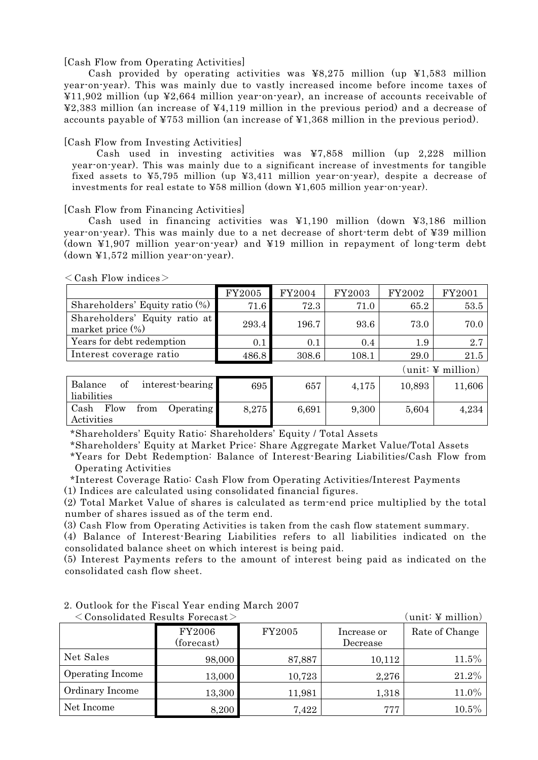#### [Cash Flow from Operating Activities]

Cash provided by operating activities was ¥8,275 million (up ¥1,583 million year-on-year). This was mainly due to vastly increased income before income taxes of ¥11,902 million (up ¥2,664 million year-on-year), an increase of accounts receivable of ¥2,383 million (an increase of ¥4,119 million in the previous period) and a decrease of accounts payable of  $\yen$ 753 million (an increase of  $\yen$ 1,368 million in the previous period).

#### [Cash Flow from Investing Activities]

Cash used in investing activities was ¥7,858 million (up 2,228 million year-on-year). This was mainly due to a significant increase of investments for tangible fixed assets to ¥5,795 million (up ¥3,411 million year-on-year), despite a decrease of investments for real estate to ¥58 million (down ¥1,605 million year-on-year).

#### [Cash Flow from Financing Activities]

Cash used in financing activities was ¥1,190 million (down ¥3,186 million year-on-year). This was mainly due to a net decrease of short-term debt of ¥39 million (down ¥1,907 million year-on-year) and ¥19 million in repayment of long-term debt (down ¥1,572 million year-on-year).

|                                                      | FY2005 | FY2004 | FY2003 | FY2002 | FY2001   |
|------------------------------------------------------|--------|--------|--------|--------|----------|
| Shareholders' Equity ratio $(\%)$                    | 71.6   | 72.3   | 71.0   | 65.2   | 53.5     |
| Shareholders' Equity ratio at<br>market price $(\%)$ | 293.4  | 196.7  | 93.6   | 73.0   | 70.0     |
| Years for debt redemption                            | 0.1    | 0.1    | 0.4    | 1.9    | 2.7      |
| Interest coverage ratio                              | 486.8  | 308.6  | 108.1  | 29.0   | $21.5\,$ |

 $\langle$  Cash Flow indices $>$ 

| Balance<br>interest-bearing<br>οf<br>liabilities       | 695   | 657   | 4,175 | 10,893 | 11,606 |
|--------------------------------------------------------|-------|-------|-------|--------|--------|
| Cash<br>Flow<br>from<br><i>Operating</i><br>Activities | 8,275 | 6,691 | 9,300 | 5,604  | 4.234  |

(unit: ¥ million)

\*Shareholders' Equity Ratio: Shareholders' Equity / Total Assets

\*Shareholders' Equity at Market Price: Share Aggregate Market Value/Total Assets

\*Years for Debt Redemption: Balance of Interest-Bearing Liabilities/Cash Flow from Operating Activities

\*Interest Coverage Ratio: Cash Flow from Operating Activities/Interest Payments (1) Indices are calculated using consolidated financial figures.

(2) Total Market Value of shares is calculated as term-end price multiplied by the total number of shares issued as of the term end.

(3) Cash Flow from Operating Activities is taken from the cash flow statement summary.

(4) Balance of Interest-Bearing Liabilities refers to all liabilities indicated on the consolidated balance sheet on which interest is being paid.

(5) Interest Payments refers to the amount of interest being paid as indicated on the consolidated cash flow sheet.

|                         | $\langle$ Consolidated Results Forecast $>$ |        |                         | unit: 4 million) |
|-------------------------|---------------------------------------------|--------|-------------------------|------------------|
|                         | FY2006<br>(forecast)                        | FY2005 | Increase or<br>Decrease | Rate of Change   |
| Net Sales               | 98,000                                      | 87,887 | 10,112                  | $11.5\%$         |
| <b>Operating Income</b> | 13,000                                      | 10,723 | 2,276                   | 21.2%            |
| Ordinary Income         | 13,300                                      | 11,981 | 1,318                   | 11.0%            |
| Net Income              | 8,200                                       | 7,422  | 777                     | $10.5\%$         |

2. Outlook for the Fiscal Year ending March 2007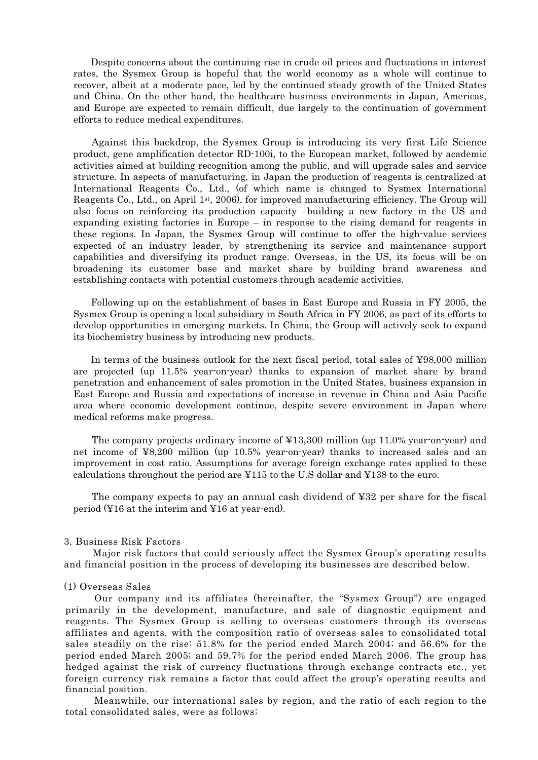Despite concerns about the continuing rise in crude oil prices and fluctuations in interest rates, the Sysmex Group is hopeful that the world economy as a whole will continue to recover, albeit at a moderate pace, led by the continued steady growth of the United States and China. On the other hand, the healthcare business environments in Japan, Americas, and Europe are expected to remain difficult, due largely to the continuation of government efforts to reduce medical expenditures.

Against this backdrop, the Sysmex Group is introducing its very first Life Science product, gene amplification detector RD-100i, to the European market, followed by academic activities aimed at building recognition among the public, and will upgrade sales and service structure. In aspects of manufacturing, in Japan the production of reagents is centralized at International Reagents Co., Ltd., (of which name is changed to Sysmex International Reagents Co., Ltd., on April 1st, 2006), for improved manufacturing efficiency. The Group will also focus on reinforcing its production capacity –building a new factory in the US and expanding existing factories in Europe – in response to the rising demand for reagents in these regions. In Japan, the Sysmex Group will continue to offer the high-value services expected of an industry leader, by strengthening its service and maintenance support capabilities and diversifying its product range. Overseas, in the US, its focus will be on broadening its customer base and market share by building brand awareness and establishing contacts with potential customers through academic activities.

Following up on the establishment of bases in East Europe and Russia in FY 2005, the Sysmex Group is opening a local subsidiary in South Africa in FY 2006, as part of its efforts to develop opportunities in emerging markets. In China, the Group will actively seek to expand its biochemistry business by introducing new products.

In terms of the business outlook for the next fiscal period, total sales of ¥98,000 million are projected (up 11.5% year-on-year) thanks to expansion of market share by brand penetration and enhancement of sales promotion in the United States, business expansion in East Europe and Russia and expectations of increase in revenue in China and Asia Pacific area where economic development continue, despite severe environment in Japan where medical reforms make progress.

The company projects ordinary income of ¥13,300 million (up 11.0% year-on-year) and net income of ¥8,200 million (up 10.5% year-on-year) thanks to increased sales and an improvement in cost ratio. Assumptions for average foreign exchange rates applied to these calculations throughout the period are ¥115 to the U.S dollar and ¥138 to the euro.

The company expects to pay an annual cash dividend of ¥32 per share for the fiscal period (¥16 at the interim and ¥16 at year-end).

#### 3. Business Risk Factors

Major risk factors that could seriously affect the Sysmex Group's operating results and financial position in the process of developing its businesses are described below.

#### (1) Overseas Sales

Our company and its affiliates (hereinafter, the "Sysmex Group") are engaged primarily in the development, manufacture, and sale of diagnostic equipment and reagents. The Sysmex Group is selling to overseas customers through its overseas affiliates and agents, with the composition ratio of overseas sales to consolidated total sales steadily on the rise: 51.8% for the period ended March 2004; and 56.6% for the period ended March 2005; and 59.7% for the period ended March 2006. The group has hedged against the risk of currency fluctuations through exchange contracts etc., yet foreign currency risk remains a factor that could affect the group's operating results and financial position.

Meanwhile, our international sales by region, and the ratio of each region to the total consolidated sales, were as follows;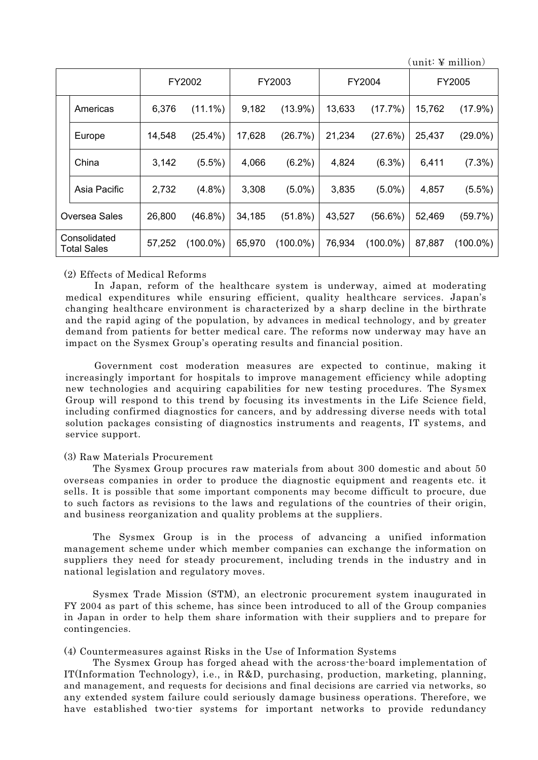$(\text{unit}: \mathcal{V} \text{ million})$ 

|                                    |              |        | FY2002      | FY2003 |             | FY2004 |             | FY2005 |             |
|------------------------------------|--------------|--------|-------------|--------|-------------|--------|-------------|--------|-------------|
|                                    | Americas     | 6,376  | $(11.1\%)$  | 9,182  | $(13.9\%)$  | 13,633 | (17.7%)     | 15,762 | $(17.9\%)$  |
|                                    | Europe       | 14,548 | $(25.4\%)$  | 17,628 | (26.7%)     | 21,234 | (27.6%)     | 25,437 | $(29.0\%)$  |
|                                    | China        | 3,142  | $(5.5\%)$   | 4,066  | $(6.2\%)$   | 4,824  | $(6.3\%)$   | 6,411  | $(7.3\%)$   |
|                                    | Asia Pacific | 2,732  | $(4.8\%)$   | 3,308  | $(5.0\%)$   | 3,835  | $(5.0\%)$   | 4,857  | $(5.5\%)$   |
| <b>Oversea Sales</b>               |              | 26,800 | $(46.8\%)$  | 34,185 | $(51.8\%)$  | 43,527 | $(56.6\%)$  | 52,469 | (59.7%)     |
| Consolidated<br><b>Total Sales</b> |              | 57,252 | $(100.0\%)$ | 65,970 | $(100.0\%)$ | 76,934 | $(100.0\%)$ | 87,887 | $(100.0\%)$ |

#### (2) Effects of Medical Reforms

In Japan, reform of the healthcare system is underway, aimed at moderating medical expenditures while ensuring efficient, quality healthcare services. Japan's changing healthcare environment is characterized by a sharp decline in the birthrate and the rapid aging of the population, by advances in medical technology, and by greater demand from patients for better medical care. The reforms now underway may have an impact on the Sysmex Group's operating results and financial position.

Government cost moderation measures are expected to continue, making it increasingly important for hospitals to improve management efficiency while adopting new technologies and acquiring capabilities for new testing procedures. The Sysmex Group will respond to this trend by focusing its investments in the Life Science field, including confirmed diagnostics for cancers, and by addressing diverse needs with total solution packages consisting of diagnostics instruments and reagents, IT systems, and service support.

#### (3) Raw Materials Procurement

The Sysmex Group procures raw materials from about 300 domestic and about 50 overseas companies in order to produce the diagnostic equipment and reagents etc. it sells. It is possible that some important components may become difficult to procure, due to such factors as revisions to the laws and regulations of the countries of their origin, and business reorganization and quality problems at the suppliers.

The Sysmex Group is in the process of advancing a unified information management scheme under which member companies can exchange the information on suppliers they need for steady procurement, including trends in the industry and in national legislation and regulatory moves.

Sysmex Trade Mission (STM), an electronic procurement system inaugurated in FY 2004 as part of this scheme, has since been introduced to all of the Group companies in Japan in order to help them share information with their suppliers and to prepare for contingencies.

# (4) Countermeasures against Risks in the Use of Information Systems

The Sysmex Group has forged ahead with the across-the-board implementation of IT(Information Technology), i.e., in R&D, purchasing, production, marketing, planning, and management, and requests for decisions and final decisions are carried via networks, so any extended system failure could seriously damage business operations. Therefore, we have established two-tier systems for important networks to provide redundancy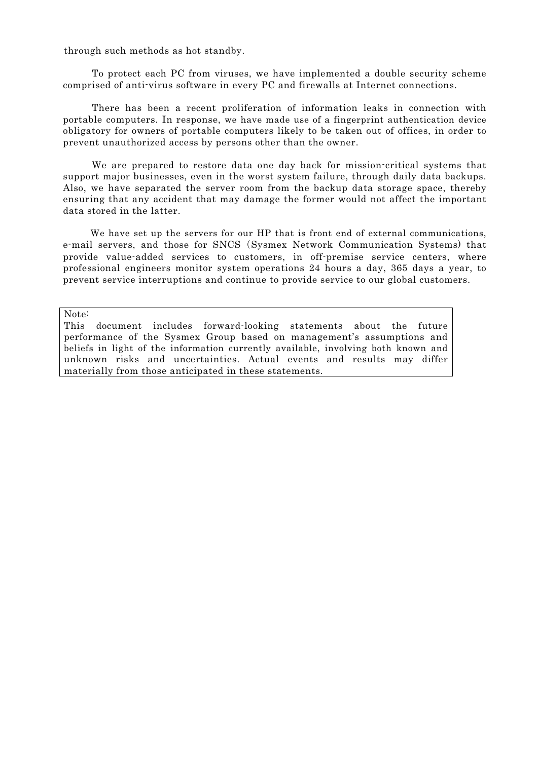through such methods as hot standby.

To protect each PC from viruses, we have implemented a double security scheme comprised of anti-virus software in every PC and firewalls at Internet connections.

There has been a recent proliferation of information leaks in connection with portable computers. In response, we have made use of a fingerprint authentication device obligatory for owners of portable computers likely to be taken out of offices, in order to prevent unauthorized access by persons other than the owner.

We are prepared to restore data one day back for mission-critical systems that support major businesses, even in the worst system failure, through daily data backups. Also, we have separated the server room from the backup data storage space, thereby ensuring that any accident that may damage the former would not affect the important data stored in the latter.

We have set up the servers for our HP that is front end of external communications. e-mail servers, and those for SNCS (Sysmex Network Communication Systems) that provide value-added services to customers, in off-premise service centers, where professional engineers monitor system operations 24 hours a day, 365 days a year, to prevent service interruptions and continue to provide service to our global customers.

Note:

This document includes forward-looking statements about the future performance of the Sysmex Group based on management's assumptions and beliefs in light of the information currently available, involving both known and unknown risks and uncertainties. Actual events and results may differ materially from those anticipated in these statements.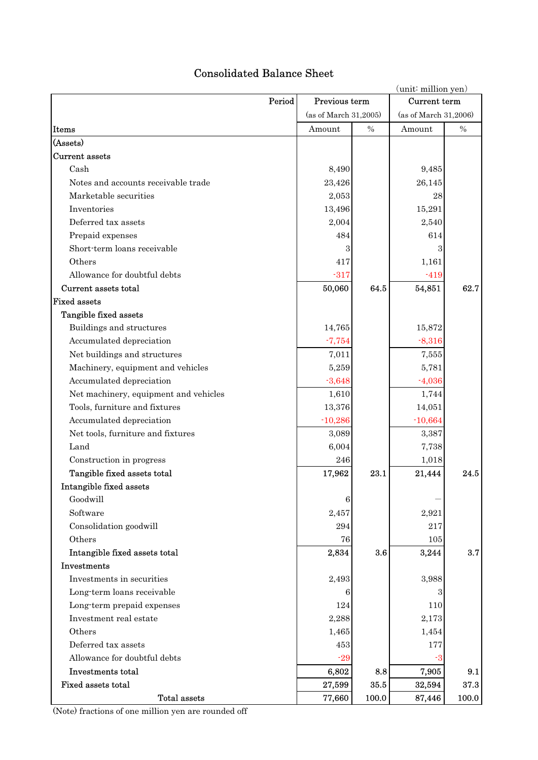# Consolidated Balance Sheet

|                                       | (unit: million yen)   |       |                       |       |  |  |
|---------------------------------------|-----------------------|-------|-----------------------|-------|--|--|
| Period                                | Previous term         |       | Current term          |       |  |  |
|                                       | (as of March 31,2005) |       | (as of March 31,2006) |       |  |  |
| Items                                 | Amount                | $\%$  | Amount                | $\%$  |  |  |
| (Assets)                              |                       |       |                       |       |  |  |
| Current assets                        |                       |       |                       |       |  |  |
| Cash                                  | 8,490                 |       | 9,485                 |       |  |  |
| Notes and accounts receivable trade   | 23,426                |       | 26,145                |       |  |  |
| Marketable securities                 | 2,053                 |       | 28                    |       |  |  |
| Inventories                           | 13,496                |       | 15,291                |       |  |  |
| Deferred tax assets                   | 2,004                 |       | 2,540                 |       |  |  |
| Prepaid expenses                      | 484                   |       | 614                   |       |  |  |
| Short-term loans receivable           | 3                     |       | 3                     |       |  |  |
| Others                                | 417                   |       | 1,161                 |       |  |  |
| Allowance for doubtful debts          | $-317$                |       | $-419$                |       |  |  |
| Current assets total                  | 50,060                | 64.5  | 54,851                | 62.7  |  |  |
| <b>Fixed assets</b>                   |                       |       |                       |       |  |  |
| Tangible fixed assets                 |                       |       |                       |       |  |  |
| Buildings and structures              | 14,765                |       | 15,872                |       |  |  |
| Accumulated depreciation              | $-7,754$              |       | $-8,316$              |       |  |  |
| Net buildings and structures          | 7,011                 |       | 7,555                 |       |  |  |
| Machinery, equipment and vehicles     | 5,259                 |       | 5,781                 |       |  |  |
| Accumulated depreciation              | $-3,648$              |       | $-4,036$              |       |  |  |
| Net machinery, equipment and vehicles | 1,610                 |       | 1,744                 |       |  |  |
| Tools, furniture and fixtures         | 13,376                |       | 14,051                |       |  |  |
| Accumulated depreciation              | $-10,286$             |       | $-10,664$             |       |  |  |
| Net tools, furniture and fixtures     | 3,089                 |       | 3,387                 |       |  |  |
| Land                                  | 6,004                 |       | 7,738                 |       |  |  |
| Construction in progress              | 246                   |       | 1,018                 |       |  |  |
| Tangible fixed assets total           | 17,962                | 23.1  | 21,444                | 24.5  |  |  |
| Intangible fixed assets               |                       |       |                       |       |  |  |
| Goodwill                              | $\,6$                 |       |                       |       |  |  |
| Software                              | 2,457                 |       | 2,921                 |       |  |  |
| Consolidation goodwill                | 294                   |       | 217                   |       |  |  |
| Others                                | 76                    |       | 105                   |       |  |  |
| Intangible fixed assets total         | 2,834                 | 3.6   | 3,244                 | 3.7   |  |  |
| Investments                           |                       |       |                       |       |  |  |
| Investments in securities             | 2,493                 |       | 3,988                 |       |  |  |
| Long-term loans receivable            | 6                     |       | 3                     |       |  |  |
| Long-term prepaid expenses            | 124                   |       | 110                   |       |  |  |
| Investment real estate                | 2,288                 |       | 2,173                 |       |  |  |
| Others                                | 1,465                 |       | 1,454                 |       |  |  |
| Deferred tax assets                   | 453                   |       | 177                   |       |  |  |
| Allowance for doubtful debts          | $-29$                 |       | $-3$                  |       |  |  |
| Investments total                     | 6,802                 | 8.8   | 7,905                 | 9.1   |  |  |
| Fixed assets total                    | 27,599                | 35.5  | 32,594                | 37.3  |  |  |
| <b>Total assets</b>                   | 77,660                | 100.0 | 87,446                | 100.0 |  |  |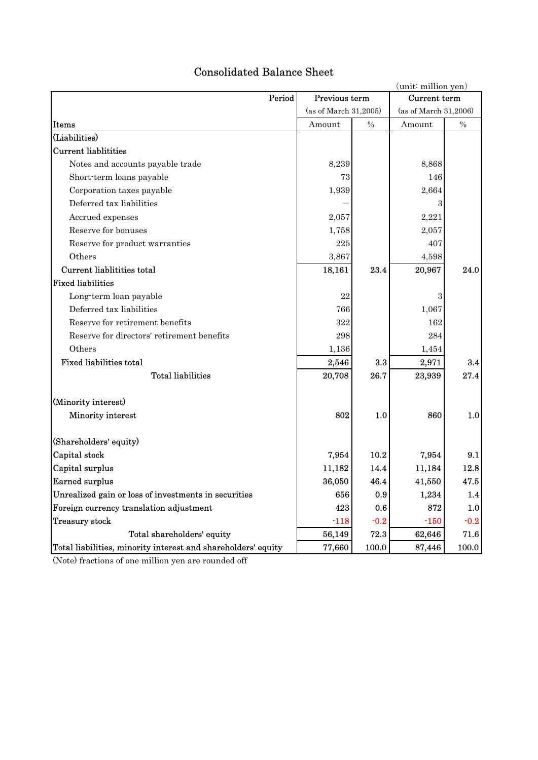|                                                               | (unit: million yen)     |        |                       |        |
|---------------------------------------------------------------|-------------------------|--------|-----------------------|--------|
|                                                               | Period<br>Previous term |        |                       |        |
|                                                               | (as of March 31,2005)   |        | (as of March 31,2006) |        |
| Items                                                         | Amount                  | $\%$   | Amount                | $\%$   |
| (Liabilities)                                                 |                         |        |                       |        |
| <b>Current liablitities</b>                                   |                         |        |                       |        |
| Notes and accounts payable trade                              | 8,239                   |        | 8,868                 |        |
| Short-term loans payable                                      | 73                      |        | 146                   |        |
| Corporation taxes payable                                     | 1,939                   |        | 2,664                 |        |
| Deferred tax liabilities                                      |                         |        | 3                     |        |
| Accrued expenses                                              | 2,057                   |        | 2,221                 |        |
| Reserve for bonuses                                           | 1,758                   |        | 2,057                 |        |
| Reserve for product warranties                                | 225                     |        | 407                   |        |
| Others                                                        | 3,867                   |        | 4,598                 |        |
| Current liablitities total                                    | 18,161                  | 23.4   | 20,967                | 24.0   |
| <b>Fixed liabilities</b>                                      |                         |        |                       |        |
| Long-term loan payable                                        | 22                      |        | 3                     |        |
| Deferred tax liabilities                                      | 766                     |        | 1,067                 |        |
| Reserve for retirement benefits                               | 322                     |        | 162                   |        |
| Reserve for directors' retirement benefits                    | 298                     |        | 284                   |        |
| Others                                                        | 1,136                   |        | 1,454                 |        |
| <b>Fixed liabilities total</b>                                | 2,546                   | 3.3    | 2,971                 | 3.4    |
| <b>Total liabilities</b>                                      | 20,708                  | 26.7   | 23,939                | 27.4   |
| (Minority interest)                                           |                         |        |                       |        |
| Minority interest                                             | 802                     | 1.0    | 860                   | 1.0    |
| (Shareholders' equity)                                        |                         |        |                       |        |
| Capital stock                                                 | 7,954                   | 10.2   | 7,954                 | 9.1    |
| Capital surplus                                               | 11,182                  | 14.4   | 11,184                | 12.8   |
| <b>Earned surplus</b>                                         | 36,050                  | 46.4   | 41,550                | 47.5   |
| Unrealized gain or loss of investments in securities          | 656                     | 0.9    | 1,234                 | 1.4    |
| Foreign currency translation adjustment                       | 423                     | 0.6    | 872                   | 1.0    |
| Treasury stock                                                | $-118$                  | $-0.2$ | $-150$                | $-0.2$ |
| Total shareholders' equity                                    | 56,149                  | 72.3   | 62,646                | 71.6   |
| Total liabilities, minority interest and shareholders' equity | 77,660                  | 100.0  | 87,446                | 100.0  |

# Consolidated Balance Sheet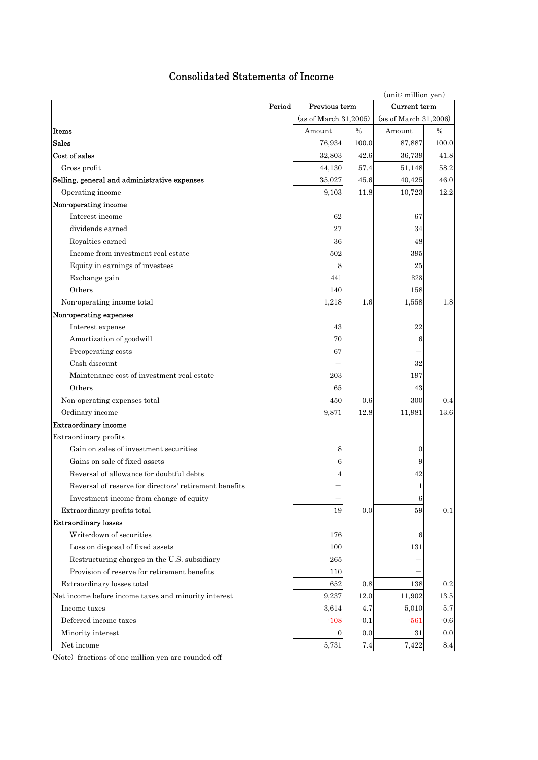| (unit: million yen)                                    |                       |              |                       |        |  |  |
|--------------------------------------------------------|-----------------------|--------------|-----------------------|--------|--|--|
| Period                                                 | Previous term         | Current term |                       |        |  |  |
|                                                        | (as of March 31,2005) |              | (as of March 31,2006) |        |  |  |
| Items                                                  | Amount                | $\%$         | Amount                | $\%$   |  |  |
| Sales                                                  | 76,934                | 100.0        | 87,887                | 100.0  |  |  |
| Cost of sales                                          | 32,803                | 42.6         | 36,739                | 41.8   |  |  |
| Gross profit                                           | 44,130                | 57.4         | 51,148                | 58.2   |  |  |
| Selling, general and administrative expenses           | 35,027                | 45.6         | 40,425                | 46.0   |  |  |
| Operating income                                       | 9,103                 | 11.8         | 10,723                | 12.2   |  |  |
| Non-operating income                                   |                       |              |                       |        |  |  |
| Interest income                                        | 62                    |              | 67                    |        |  |  |
| dividends earned                                       | 27                    |              | 34                    |        |  |  |
| Royalties earned                                       | 36 <sup>°</sup>       |              | 48                    |        |  |  |
| Income from investment real estate                     | 502                   |              | 395                   |        |  |  |
| Equity in earnings of investees                        | 8                     |              | 25                    |        |  |  |
| Exchange gain                                          | 441                   |              | 828                   |        |  |  |
| Others                                                 | 140                   |              | 158                   |        |  |  |
| Non-operating income total                             | 1,218                 | 1.6          | 1,558                 | 1.8    |  |  |
| Non-operating expenses                                 |                       |              |                       |        |  |  |
| Interest expense                                       | 43                    |              | 22                    |        |  |  |
| Amortization of goodwill                               | 70                    |              | 6                     |        |  |  |
| Preoperating costs                                     | 67                    |              |                       |        |  |  |
| Cash discount                                          |                       |              | 32                    |        |  |  |
| Maintenance cost of investment real estate             | 203                   |              | 197                   |        |  |  |
| Others                                                 | 65                    |              | 43                    |        |  |  |
| Non-operating expenses total                           | 450                   | $0.6\,$      | 300                   | 0.4    |  |  |
| Ordinary income                                        | 9,871                 | 12.8         | 11,981                | 13.6   |  |  |
| <b>Extraordinary income</b>                            |                       |              |                       |        |  |  |
| Extraordinary profits                                  |                       |              |                       |        |  |  |
| Gain on sales of investment securities                 | 8                     |              | $\boldsymbol{0}$      |        |  |  |
| Gains on sale of fixed assets                          | 6                     |              | 9                     |        |  |  |
| Reversal of allowance for doubtful debts               | 4                     |              | 42                    |        |  |  |
| Reversal of reserve for directors' retirement benefits |                       |              | 1                     |        |  |  |
| Investment income from change of equity                |                       |              | $6 \mid$              |        |  |  |
| Extraordinary profits total                            | 19                    | 0.0          | 59                    | 0.1    |  |  |
| <b>Extraordinary losses</b>                            |                       |              |                       |        |  |  |
| Write-down of securities                               | 176                   |              | 6                     |        |  |  |
| Loss on disposal of fixed assets                       | 100                   |              | 131                   |        |  |  |
| Restructuring charges in the U.S. subsidiary           | 265                   |              |                       |        |  |  |
| Provision of reserve for retirement benefits           | 110                   |              |                       |        |  |  |
| Extraordinary losses total                             | 652                   | 0.8          | 138                   | 0.2    |  |  |
| Net income before income taxes and minority interest   | 9,237                 | 12.0         | 11,902                | 13.5   |  |  |
| Income taxes                                           | 3,614                 | 4.7          | 5,010                 | 5.7    |  |  |
| Deferred income taxes                                  | $-108$                | $-0.1$       | $-561$                | $-0.6$ |  |  |
| Minority interest                                      | 0                     | 0.0          | 31                    | 0.0    |  |  |
| Net income                                             | 5,731                 | 7.4          | 7,422                 | 8.4    |  |  |

# Consolidated Statements of Income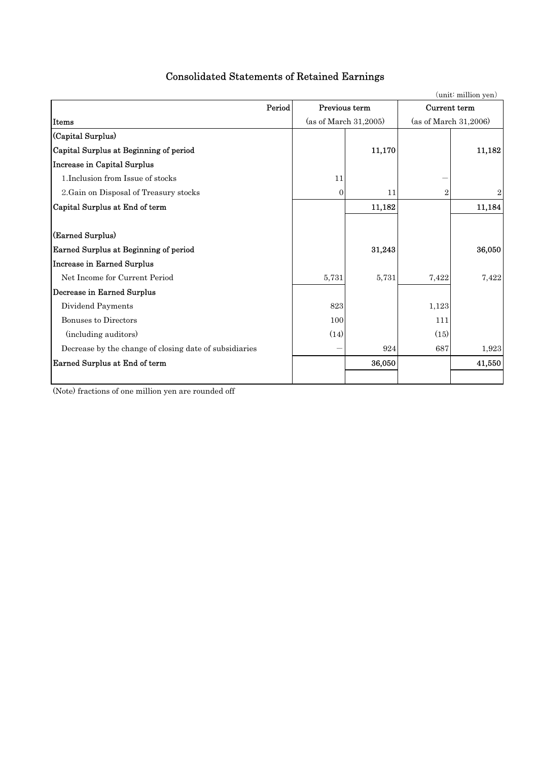| <b>Consolidated Statements of Retained Earnings</b> |
|-----------------------------------------------------|
|-----------------------------------------------------|

|                                                        |               |                       |                | (unit: million yen)   |
|--------------------------------------------------------|---------------|-----------------------|----------------|-----------------------|
| Period                                                 | Previous term |                       | Current term   |                       |
| Items                                                  |               | (as of March 31,2005) |                | (as of March 31,2006) |
| (Capital Surplus)                                      |               |                       |                |                       |
| Capital Surplus at Beginning of period                 |               | 11,170                |                | 11,182                |
| <b>Increase in Capital Surplus</b>                     |               |                       |                |                       |
| 1. Inclusion from Issue of stocks                      | 11            |                       |                |                       |
| 2. Gain on Disposal of Treasury stocks                 | $\mathbf{0}$  | 11                    | $\overline{2}$ | $\overline{2}$        |
| Capital Surplus at End of term                         |               | 11,182                |                | 11,184                |
|                                                        |               |                       |                |                       |
| (Earned Surplus)                                       |               |                       |                |                       |
| Earned Surplus at Beginning of period                  |               | 31,243                |                | 36,050                |
| <b>Increase in Earned Surplus</b>                      |               |                       |                |                       |
| Net Income for Current Period                          | 5,731         | 5,731                 | 7,422          | 7,422                 |
| Decrease in Earned Surplus                             |               |                       |                |                       |
| Dividend Payments                                      | 823           |                       | 1,123          |                       |
| <b>Bonuses to Directors</b>                            | 100           |                       | 111            |                       |
| (including auditors)                                   | (14)          |                       | (15)           |                       |
| Decrease by the change of closing date of subsidiaries |               | 924                   | 687            | 1,923                 |
| Earned Surplus at End of term                          |               | 36,050                |                | 41,550                |
|                                                        |               |                       |                |                       |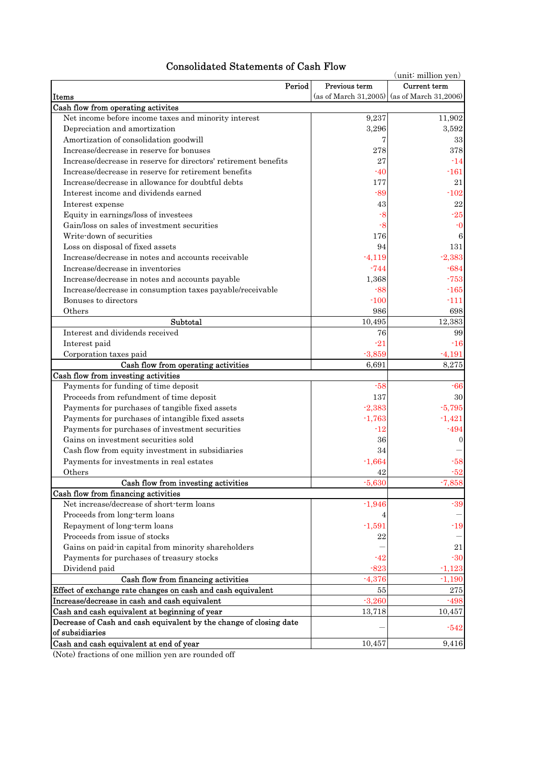| <b>Consolidated Statements of Cash Flow</b> |  |  |  |
|---------------------------------------------|--|--|--|
|---------------------------------------------|--|--|--|

| onsonuateu Blatements of Cash Flow                                                                                  |               | (unit: million yen)                         |  |
|---------------------------------------------------------------------------------------------------------------------|---------------|---------------------------------------------|--|
| Period                                                                                                              | Previous term | <b>Current</b> term                         |  |
| Items                                                                                                               |               | (as of March 31,2005) (as of March 31,2006) |  |
| Cash flow from operating activites                                                                                  |               |                                             |  |
| Net income before income taxes and minority interest                                                                | 9,237         | 11,902                                      |  |
| Depreciation and amortization                                                                                       | 3,296         | 3,592                                       |  |
| Amortization of consolidation goodwill                                                                              |               | 33                                          |  |
| Increase/decrease in reserve for bonuses                                                                            | 278           | 378                                         |  |
| Increase/decrease in reserve for directors' retirement benefits                                                     | 27            | $-14$                                       |  |
| Increase/decrease in reserve for retirement benefits                                                                | $-40$         | -161                                        |  |
| Increase/decrease in allowance for doubtful debts                                                                   | 177           | 21                                          |  |
| Interest income and dividends earned                                                                                | $-89$         | $-102$                                      |  |
| Interest expense                                                                                                    | 43            | 22                                          |  |
| Equity in earnings/loss of investees                                                                                | -8            | $-25$                                       |  |
| Gain/loss on sales of investment securities                                                                         | -8            | $-0$                                        |  |
| Write-down of securities                                                                                            | 176           | 6                                           |  |
| Loss on disposal of fixed assets                                                                                    | 94            | 131                                         |  |
| Increase/decrease in notes and accounts receivable                                                                  | $-4,119$      | $-2,383$                                    |  |
| Increase/decrease in inventories                                                                                    | $-744$        | $-684$                                      |  |
| Increase/decrease in notes and accounts payable                                                                     | 1,368         | $-753$                                      |  |
| Increase/decrease in consumption taxes payable/receivable                                                           | $-88$         | $-165$                                      |  |
| Bonuses to directors                                                                                                | $-100$        | -111                                        |  |
| Others                                                                                                              | 986           | 698                                         |  |
| Subtotal                                                                                                            | 10,495        | 12,383                                      |  |
| Interest and dividends received                                                                                     | 76            | 99                                          |  |
| Interest paid                                                                                                       | $-21$         | $-16$                                       |  |
| Corporation taxes paid                                                                                              | $-3,859$      | $-4,191$                                    |  |
| Cash flow from operating activities                                                                                 | 6,691         | 8,275                                       |  |
| Cash flow from investing activities                                                                                 |               |                                             |  |
| Payments for funding of time deposit                                                                                | $-58$         | $-66$                                       |  |
| Proceeds from refundment of time deposit                                                                            | 137           | 30                                          |  |
| Payments for purchases of tangible fixed assets                                                                     | $-2,383$      | $-5,795$                                    |  |
| Payments for purchases of intangible fixed assets                                                                   | $-1,763$      | $-1,421$                                    |  |
| Payments for purchases of investment securities                                                                     | $-12$         | $-494$                                      |  |
| Gains on investment securities sold                                                                                 | 36            | $\overline{0}$                              |  |
| Cash flow from equity investment in subsidiaries                                                                    | 34            |                                             |  |
| Payments for investments in real estates                                                                            | $-1,664$      | $-58$                                       |  |
| Others                                                                                                              | 42            | $-52$                                       |  |
| Cash flow from investing activities                                                                                 | $-5,630$      | $-7,858$                                    |  |
| Cash flow from financing activities                                                                                 |               |                                             |  |
| Net increase/decrease of short-term loans                                                                           | $-1,946$      | $-39$                                       |  |
| Proceeds from long-term loans                                                                                       |               |                                             |  |
| Repayment of long-term loans                                                                                        | $-1,591$      | $-19$                                       |  |
| Proceeds from issue of stocks                                                                                       | 22            |                                             |  |
| Gains on paid in capital from minority shareholders                                                                 |               | 21                                          |  |
| Payments for purchases of treasury stocks                                                                           | -42           | $-30$                                       |  |
| Dividend paid                                                                                                       | $-823$        | $-1,123$                                    |  |
| Cash flow from financing activities                                                                                 | $-4,376$      | $-1,190$                                    |  |
| Effect of exchange rate changes on cash and cash equivalent                                                         | 55            | 275                                         |  |
| Increase/decrease in cash and cash equivalent                                                                       | $-3,260$      | $-498$                                      |  |
| Cash and cash equivalent at beginning of year<br>Decrease of Cash and cash equivalent by the change of closing date | 13,718        | 10,457                                      |  |
| of subsidiaries                                                                                                     |               | $-542$                                      |  |
| Cash and cash equivalent at end of year                                                                             | 10,457        | 9,416                                       |  |